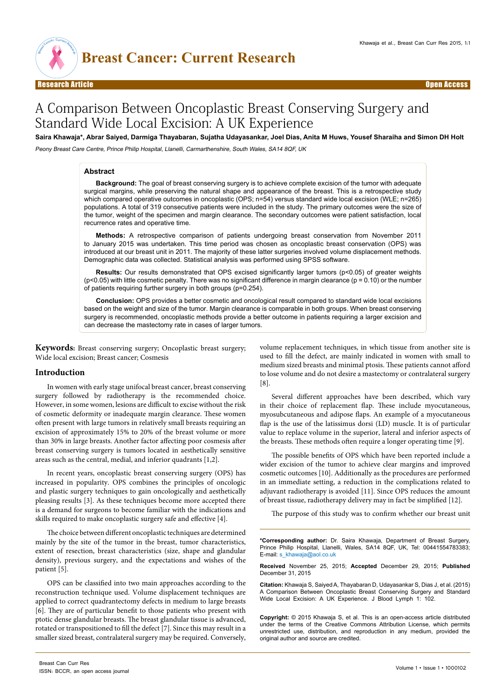

# A Comparison Between Oncoplastic Breast Conserving Surgery and Standard Wide Local Excision: A UK Experience

**Saira Khawaja\*, Abrar Saiyed, Darmiga Thayabaran, Sujatha Udayasankar, Joel Dias, Anita M Huws, Yousef Sharaiha and Simon DH Holt**

Peony Breast Care Centre, Prince Philip Hospital, Llanelli, Carmarthenshire, South Wales, SA14 8QF, UK

### **Abstract**

**Background:** The goal of breast conserving surgery is to achieve complete excision of the tumor with adequate surgical margins, while preserving the natural shape and appearance of the breast. This is a retrospective study which compared operative outcomes in oncoplastic (OPS; n=54) versus standard wide local excision (WLE; n=265) populations. A total of 319 consecutive patients were included in the study. The primary outcomes were the size of the tumor, weight of the specimen and margin clearance. The secondary outcomes were patient satisfaction, local recurrence rates and operative time.

**Methods:** A retrospective comparison of patients undergoing breast conservation from November 2011 to January 2015 was undertaken. This time period was chosen as oncoplastic breast conservation (OPS) was introduced at our breast unit in 2011. The majority of these latter surgeries involved volume displacement methods. Demographic data was collected. Statistical analysis was performed using SPSS software.

**Results:** Our results demonstrated that OPS excised significantly larger tumors (p<0.05) of greater weights  $(p<0.05)$  with little cosmetic penalty. There was no significant difference in margin clearance ( $p = 0.10$ ) or the number of patients requiring further surgery in both groups (p=0.254)*.*

**Conclusion:** OPS provides a better cosmetic and oncological result compared to standard wide local excisions based on the weight and size of the tumor. Margin clearance is comparable in both groups. When breast conserving surgery is recommended, oncoplastic methods provide a better outcome in patients requiring a larger excision and can decrease the mastectomy rate in cases of larger tumors.

**Keywords:** Breast conserving surgery; Oncoplastic breast surgery; Wide local excision; Breast cancer; Cosmesis

## **Introduction**

In women with early stage unifocal breast cancer, breast conserving surgery followed by radiotherapy is the recommended choice. However, in some women, lesions are difficult to excise without the risk of cosmetic deformity or inadequate margin clearance. These women often present with large tumors in relatively small breasts requiring an excision of approximately 15% to 20% of the breast volume or more than 30% in large breasts. Another factor affecting poor cosmesis after breast conserving surgery is tumors located in aesthetically sensitive areas such as the central, medial, and inferior quadrants [1,2].

In recent years, oncoplastic breast conserving surgery (OPS) has increased in popularity. OPS combines the principles of oncologic and plastic surgery techniques to gain oncologically and aesthetically pleasing results [3]. As these techniques become more accepted there is a demand for surgeons to become familiar with the indications and skills required to make oncoplastic surgery safe and effective [4].

The choice between different oncoplastic techniques are determined mainly by the site of the tumor in the breast, tumor characteristics, extent of resection, breast characteristics (size, shape and glandular density), previous surgery, and the expectations and wishes of the patient [5].

OPS can be classified into two main approaches according to the reconstruction technique used. Volume displacement techniques are applied to correct quadrantectomy defects in medium to large breasts [6]. They are of particular benefit to those patients who present with ptotic dense glandular breasts. The breast glandular tissue is advanced, rotated or transpositioned to fill the defect [7]. Since this may result in a smaller sized breast, contralateral surgery may be required. Conversely, volume replacement techniques, in which tissue from another site is used to fill the defect, are mainly indicated in women with small to medium sized breasts and minimal ptosis. These patients cannot afford to lose volume and do not desire a mastectomy or contralateral surgery [8].

Several different approaches have been described, which vary in their choice of replacement flap. These include myocutaneous, myosubcutaneous and adipose flaps. An example of a myocutaneous flap is the use of the latissimus dorsi (LD) muscle. It is of particular value to replace volume in the superior, lateral and inferior aspects of the breasts. These methods often require a longer operating time [9].

The possible benefits of OPS which have been reported include a wider excision of the tumor to achieve clear margins and improved cosmetic outcomes [10]. Additionally as the procedures are performed in an immediate setting, a reduction in the complications related to adjuvant radiotherapy is avoided [11]. Since OPS reduces the amount of breast tissue, radiotherapy delivery may in fact be simplified [12].

The purpose of this study was to confirm whether our breast unit

**\*Corresponding author:** Dr. Saira Khawaja, Department of Breast Surgery, Prince Philip Hospital, Llanelli, Wales, SA14 8QF, UK, Tel: 00441554783383; E-mail: s\_khawaja@aol.co.uk

**Received** November 25, 2015; **Accepted** December 29, 2015; **Published** December 31, 2015

**Citation:** Khawaja S, Saiyed A, Thayabaran D, Udayasankar S, Dias J, et al. (2015) A Comparison Between Oncoplastic Breast Conserving Surgery and Standard [Wide Loc](http://dx.doi.org/10.4172/bccr.1000102)al Excision: A UK Experience. J Blood Lymph 1: 102.

**Copyright:** © 2015 Khawaja S, et al. This is an open-access article distributed under the terms of the Creative Commons Attribution License, which permits unrestricted use, distribution, and reproduction in any medium, provided the original author and source are credited.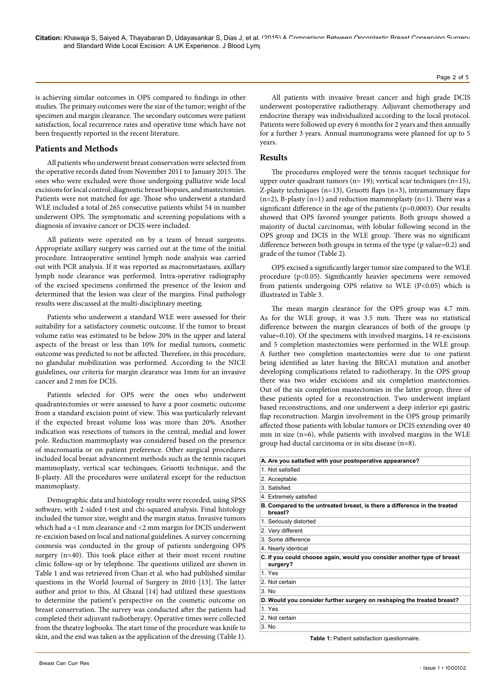Page 2 of 5

is achieving similar outcomes in OPS compared to findings in other studies. The primary outcomes were the size of the tumor; weight of the specimen and margin clearance. The secondary outcomes were patient satisfaction, local recurrence rates and operative time which have not been frequently reported in the recent literature.

# **Patients and Methods**

All patients who underwent breast conservation were selected from the operative records dated from November 2011 to January 2015. The ones who were excluded were those undergoing palliative wide local excisions for local control; diagnostic breast biopsies, and mastectomies. Patients were not matched for age. Those who underwent a standard WLE included a total of 265 consecutive patients whilst 54 in number underwent OPS. The symptomatic and screening populations with a diagnosis of invasive cancer or DCIS were included.

All patients were operated on by a team of breast surgeons. Appropriate axillary surgery was carried out at the time of the initial procedure. Intraoperative sentinel lymph node analysis was carried out with PCR analysis. If it was reported as macrometastases, axillary lymph node clearance was performed. Intra-operative radiography of the excised specimens confirmed the presence of the lesion and determined that the lesion was clear of the margins. Final pathology results were discussed at the multi-disciplinary meeting.

Patients who underwent a standard WLE were assessed for their suitability for a satisfactory cosmetic outcome. If the tumor to breast volume ratio was estimated to be below 20% in the upper and lateral aspects of the breast or less than 10% for medial tumors*,* cosmetic outcome was predicted to not be affected. Therefore, in this procedure, no glandular mobilization was performed. According to the NICE guidelines, our criteria for margin clearance was 1mm for an invasive cancer and 2 mm for DCIS.

Patients selected for OPS were the ones who underwent quadrantectomies or were assessed to have a poor cosmetic outcome from a standard excision point of view. This was particularly relevant if the expected breast volume loss was more than 20%. Another indication was resections of tumors in the central, medial and lower pole. Reduction mammoplasty was considered based on the presence of macromastia or on patient preference. Other surgical procedures included local breast advancement methods such as the tennis racquet mammoplasty, vertical scar techinques, Grisotti technique, and the B-plasty. All the procedures were unilateral except for the reduction mammoplasty.

Demographic data and histology results were recorded, using SPSS software, with 2-sided t-test and chi-squared analysis. Final histology included the tumor size, weight and the margin status. Invasive tumors which had a <1 mm clearance and <2 mm margin for DCIS underwent re-excision based on local and national guidelines. A survey concerning cosmesis was conducted in the group of patients undergoing OPS surgery (n=40). This took place either at their most recent routine clinic follow-up or by telephone. The questions utilized are shown in Table 1 and was retrieved from Chan et al. who had published similar questions in the World Journal of Surgery in 2010 [13]. The latter author and prior to this, Al Ghazal [14] had utilized these questions to determine the patient's perspective on the cosmetic outcome on breast conservation. The survey was conducted after the patients had completed their adjuvant radiotherapy. Operative times were collected from the theatre logbooks. The start time of the procedure was knife to skin, and the end was taken as the application of the dressing (Table 1).

All patients with invasive breast cancer and high grade DCIS underwent postoperative radiotherapy. Adjuvant chemotherapy and endocrine therapy was individualized according to the local protocol. Patients were followed up every 6 months for 2 years and then annually for a further 3 years. Annual mammograms were planned for up to 5 years.

## **Results**

The procedures employed were the tennis racquet technique for upper outer quadrant tumors ( $n= 19$ ); vertical scar techniques ( $n=15$ ), Z-plasty techniques (n=13), Grisotti flaps (n=3), intramammary flaps  $(n=2)$ , B-plasty  $(n=1)$  and reduction mammoplasty  $(n=1)$ . There was a significant difference in the age of the patients (p=0.0003). Our results showed that OPS favored younger patients. Both groups showed a majority of ductal carcinomas, with lobular following second in the OPS group and DCIS in the WLE group. There was no significant difference between both groups in terms of the type (p value=0.2) and grade of the tumor (Table 2)*.*

OPS excised a significantly larger tumor size compared to the WLE procedure (p<0.05). Significantly heavier specimens were removed from patients undergoing OPS relative to WLE (P<0.05) which is illustrated in Table 3.

The mean margin clearance for the OPS group was 4.7 mm. As for the WLE group, it was 3.5 mm. There was no statistical difference between the margin clearances of both of the groups (p value=0.10). Of the specimens with involved margins, 14 re-excisions and 5 completion mastectomies were performed in the WLE group. A further two completion mastectomies were due to one patient being identified as later having the BRCA1 mutation and another developing complications related to radiotherapy. In the OPS group there was two wider excisions and six completion mastectomies. Out of the six completion mastectomies in the latter group, three of these patients opted for a reconstruction. Two underwent implant based reconstructions, and one underwent a deep inferior epi gastric flap reconstruction. Margin involvement in the OPS group primarily affected those patients with lobular tumors or DCIS extending over 40 mm in size (n=6), while patients with involved margins in the WLE group had ductal carcinoma or in situ disease (n=8).

| A. Are you satisfied with your postoperative appearance?                             |
|--------------------------------------------------------------------------------------|
| 1. Not satisfied                                                                     |
| 2. Acceptable                                                                        |
| 3. Satisfied                                                                         |
| 4. Extremely satisfied                                                               |
| B. Compared to the untreated breast, is there a difference in the treated<br>breast? |
| 1. Seriously distorted                                                               |
| 2. Very different                                                                    |
| 3. Some difference                                                                   |
| 4. Nearly identical                                                                  |
| C. If you could choose again, would you consider another type of breast<br>surgery?  |
| 1. Yes                                                                               |
| 2. Not certain                                                                       |
| 3. No                                                                                |
| D. Would you consider further surgery on reshaping the treated breast?               |
| 1. Yes                                                                               |
| 2. Not certain                                                                       |
| 3. No                                                                                |
| Table 1: Patient satisfaction questionnaire.                                         |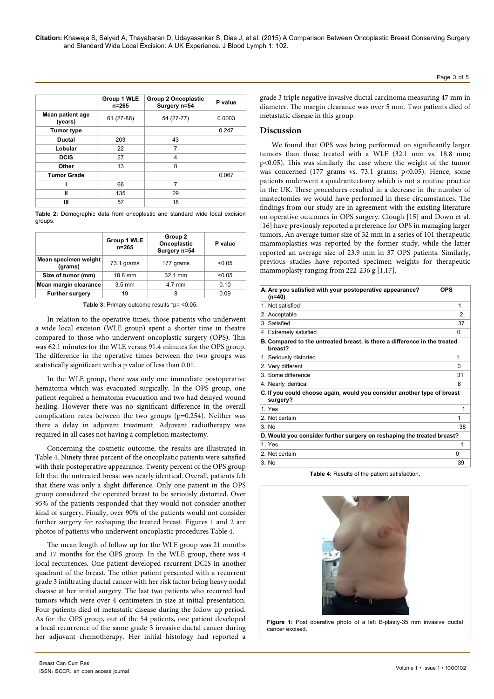**Citation:** Khawaja S, Saiyed A, Thayabaran D, Udayasankar S, Dias J, et al. (2015) A Co[mparison Between O](http://dx.doi.org/10.4172/bccr.1000102)ncoplastic Breast Conserving Surgery and Standard Wide Local Excision: A UK Experience. J Blood Lymph 1: 102.

|                             | Group 1 WLE<br>$n = 265$ | <b>Group 2 Oncoplastic</b><br>Surgery n=54 | P value |
|-----------------------------|--------------------------|--------------------------------------------|---------|
| Mean patient age<br>(years) | 61 (27-86)               | 54 (27-77)                                 | 0.0003  |
| <b>Tumor type</b>           |                          |                                            | 0.247   |
| <b>Ductal</b>               | 203                      | 43                                         |         |
| Lobular                     | 22                       | 7                                          |         |
| <b>DCIS</b>                 | 27                       | 4                                          |         |
| Other                       | 13                       | 0                                          |         |
| <b>Tumor Grade</b>          |                          |                                            | 0.067   |
|                             | 66                       | 7                                          |         |
| Ш                           | 135                      | 29                                         |         |
| Ш                           | 57                       | 18                                         |         |

**Table 2:** Demographic data from oncoplastic and standard wide local excision groups.

|                                 | Group 1 WLE<br>$n = 265$ | Group 2<br>Oncoplastic<br>Surgery n=54 | P value |
|---------------------------------|--------------------------|----------------------------------------|---------|
| Mean specimen weight<br>(grams) | 73.1 grams               | 177 grams                              | < 0.05  |
| Size of tumor (mm)              | 18.8 mm                  | 32.1 mm                                | < 0.05  |
| Mean margin clearance           | $3.5 \text{ mm}$         | 4.7 mm                                 | 0.10    |
| <b>Further surgery</b>          | 19                       | 8                                      | 0.09    |

**Table 3:** Primary outcome results \*p= <0.05.

In relation to the operative times, those patients who underwent a wide local excision (WLE group) spent a shorter time in theatre compared to those who underwent oncoplastic surgery (OPS). This was 62.1 minutes for the WLE versus 91.4 minutes for the OPS group. The difference in the operative times between the two groups was statistically significant with a p value of less than 0.01.

In the WLE group, there was only one immediate postoperative hematoma which was evacuated surgically. In the OPS group, one patient required a hematoma evacuation and two had delayed wound healing. However there was no significant difference in the overall complication rates between the two groups (p=0.254). Neither was there a delay in adjuvant treatment. Adjuvant radiotherapy was required in all cases not having a completion mastectomy.

Concerning the cosmetic outcome, the results are illustrated in Table 4. Ninety three percent of the oncoplastic patients were satisfied with their postoperative appearance. Twenty percent of the OPS group felt that the untreated breast was nearly identical. Overall, patients felt that there was only a slight difference. Only one patient in the OPS group considered the operated breast to be seriously distorted. Over 95% of the patients responded that they would not consider another kind of surgery. Finally, over 90% of the patients would not consider further surgery for reshaping the treated breast. Figures 1 and 2 are photos of patients who underwent oncoplastic procedures Table 4.

The mean length of follow up for the WLE group was 21 months and 17 months for the OPS group. In the WLE group, there was 4 local recurrences. One patient developed recurrent DCIS in another quadrant of the breast. The other patient presented with a recurrent grade 3 infiltrating ductal cancer with her risk factor being heavy nodal disease at her initial surgery. The last two patients who recurred had tumors which were over 4 centimeters in size at initial presentation. Four patients died of metastatic disease during the follow up period. As for the OPS group, out of the 54 patients, one patient developed a local recurrence of the same grade 3 invasive ductal cancer during her adjuvant chemotherapy. Her initial histology had reported a grade 3 triple negative invasive ductal carcinoma measuring 47 mm in diameter. The margin clearance was over 5 mm. Two patients died of metastatic disease in this group.

## **Discussion**

We found that OPS was being performed on significantly larger tumors than those treated with a WLE (32.1 mm vs. 18.8 mm; p<0.05). This was similarly the case where the weight of the tumor was concerned (177 grams vs. 73.1 grams; p<0.05). Hence, some patients underwent a quadrantectomy which is not a routine practice in the UK. These procedures resulted in a decrease in the number of mastectomies we would have performed in these circumstances. The findings from our study are in agreement with the existing literature on operative outcomes in OPS surgery. Clough [15] and Down et al. [16] have previously reported a preference for OPS in managing larger tumors. An average tumor size of 32 mm in a series of 101 therapeutic mammoplasties was reported by the former study, while the latter reported an average size of 23.9 mm in 37 OPS patients. Similarly, previous studies have reported specimen weights for therapeutic mammoplasty ranging from 222-236 g [1,17].

| A. Are you satisfied with your postoperative appearance?<br>$(n=40)$                 | OPS          |  |  |  |
|--------------------------------------------------------------------------------------|--------------|--|--|--|
| 1 Not satisfied                                                                      | 1            |  |  |  |
| 2. Acceptable                                                                        | 2            |  |  |  |
| 3. Satisfied                                                                         | 37           |  |  |  |
| 4. Extremely satisfied                                                               | O            |  |  |  |
| B. Compared to the untreated breast, is there a difference in the treated<br>breast? |              |  |  |  |
| 1. Seriously distorted                                                               | 1            |  |  |  |
| 2. Very different                                                                    | <sup>0</sup> |  |  |  |
| 3. Some difference                                                                   | 31           |  |  |  |
| 4. Nearly identical                                                                  | 8            |  |  |  |
| C. If you could choose again, would you consider another type of breast<br>surgery?  |              |  |  |  |
| 1 Yes                                                                                | 1            |  |  |  |
| 2. Not certain                                                                       | 1            |  |  |  |
| $3$ No                                                                               | 38           |  |  |  |
| D. Would you consider further surgery on reshaping the treated breast?               |              |  |  |  |
| 1 Yes                                                                                | 1            |  |  |  |
| 2. Not certain                                                                       | $\Omega$     |  |  |  |
| 3. No                                                                                | 39           |  |  |  |

**Table 4:** Results of the patient satisfaction**.**



**Figure 1:** Post operative photo of a left B-plasty-35 mm invasive ductal cancer excised.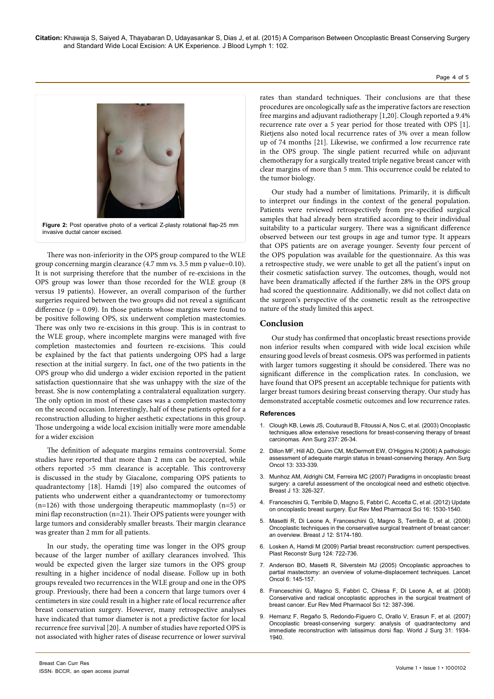### Page 4 of 5



There was non-inferiority in the OPS group compared to the WLE group concerning margin clearance (4.7 mm vs. 3.5 mm p value=0.10). It is not surprising therefore that the number of re-excisions in the OPS group was lower than those recorded for the WLE group (8 versus 19 patients). However, an overall comparison of the further surgeries required between the two groups did not reveal a significant difference ( $p = 0.09$ ). In those patients whose margins were found to be positive following OPS, six underwent completion mastectomies. There was only two re-excisions in this group. This is in contrast to the WLE group, where incomplete margins were managed with five completion mastectomies and fourteen re-excisions. This could be explained by the fact that patients undergoing OPS had a large resection at the initial surgery. In fact, one of the two patients in the OPS group who did undergo a wider excision reported in the patient satisfaction questionnaire that she was unhappy with the size of the breast. She is now contemplating a contralateral equalization surgery. The only option in most of these cases was a completion mastectomy on the second occasion. Interestingly, half of these patients opted for a reconstruction alluding to higher aesthetic expectations in this group. Those undergoing a wide local excision initially were more amendable for a wider excision

The definition of adequate margins remains controversial. Some studies have reported that more than 2 mm can be accepted, while others reported >5 mm clearance is acceptable. This controversy is discussed in the study by Giacalone, comparing OPS patients to quadrantectomy [18]. Hamdi [19] also compared the outcomes of patients who underwent either a quandrantectomy or tumorectomy  $(n=126)$  with those undergoing therapeutic mammoplasty  $(n=5)$  or mini flap reconstruction (n=21). Their OPS patients were younger with large tumors and considerably smaller breasts. Their margin clearance was greater than 2 mm for all patients.

In our study, the operating time was longer in the OPS group because of the larger number of axillary clearances involved. This would be expected given the larger size tumors in the OPS group resulting in a higher incidence of nodal disease. Follow up in both groups revealed two recurrences in the WLE group and one in the OPS group. Previously, there had been a concern that large tumors over 4 centimeters in size could result in a higher rate of local recurrence after breast conservation surgery. However, many retrospective analyses have indicated that tumor diameter is not a predictive factor for local recurrence free survival [20]. A number of studies have reported OPS is not associated with higher rates of disease recurrence or lower survival rates than standard techniques. Their conclusions are that these procedures are oncologically safe as the imperative factors are resection free margins and adjuvant radiotherapy [1,20]. Clough reported a 9.4% recurrence rate over a 5 year period for those treated with OPS [1]. Rietjens also noted local recurrence rates of 3% over a mean follow up of 74 months [21]. Likewise, we confirmed a low recurrence rate in the OPS group. The single patient recurred while on adjuvant chemotherapy for a surgically treated triple negative breast cancer with clear margins of more than 5 mm. This occurrence could be related to the tumor biology.

Our study had a number of limitations. Primarily, it is difficult to interpret our findings in the context of the general population. Patients were reviewed retrospectively from pre-specified surgical samples that had already been stratified according to their individual suitability to a particular surgery. There was a significant difference observed between our test groups in age and tumor type. It appears that OPS patients are on average younger. Seventy four percent of the OPS population was available for the questionnaire. As this was a retrospective study, we were unable to get all the patient's input on their cosmetic satisfaction survey. The outcomes, though, would not have been dramatically affected if the further 28% in the OPS group had scored the questionnaire. Additionally, we did not collect data on the surgeon's perspective of the cosmetic result as the retrospective nature of the study limited this aspect.

## **Conclusion**

Our study has confirmed that oncoplastic breast resections provide non inferior results when compared with wide local excision while ensuring good levels of breast cosmesis. OPS was performed in patients with larger tumors suggesting it should be considered. There was no significant difference in the complication rates. In conclusion, we have found that OPS present an acceptable technique for patients with larger breast tumors desiring breast conserving therapy. Our study has demonstrated acceptable cosmetic outcomes and low recurrence rates.

## **References**

- 1. [Clough KB, Lewis JS, Couturaud B, Fitoussi A, Nos C, et al. \(2003\) Oncoplastic](http://www.ncbi.nlm.nih.gov/pubmed/12496527)  [techniques allow extensive resections for breast-conserving therapy of breast](http://www.ncbi.nlm.nih.gov/pubmed/12496527)  [carcinomas. Ann Surg 237: 26-34.](http://www.ncbi.nlm.nih.gov/pubmed/12496527)
- 2. [Dillon MF, Hill AD, Quinn CM, McDermott EW, O'Higgins N \(2006\) A pathologic](http://www.ncbi.nlm.nih.gov/pubmed/16474911)  [assessment of adequate margin status in breast-conserving therapy. Ann Surg](http://www.ncbi.nlm.nih.gov/pubmed/16474911)  [Oncol 13: 333-339.](http://www.ncbi.nlm.nih.gov/pubmed/16474911)
- 3. [Munhoz AM, Aldrighi CM, Ferreira MC \(2007\) Paradigms in oncoplastic breast](http://www.ncbi.nlm.nih.gov/pubmed/17461918)  [surgery: a careful assessment of the oncological need and esthetic objective.](http://www.ncbi.nlm.nih.gov/pubmed/17461918)  [Breast J 13: 326-327.](http://www.ncbi.nlm.nih.gov/pubmed/17461918)
- 4. [Franceschini G, Terribile D, Magno S, Fabbri C, Accetta C, et al. \(2012\) Update](http://www.ncbi.nlm.nih.gov/pubmed/23111966)  [on oncoplastic breast surgery. Eur Rev Med Pharmacol Sci 16: 1530-1540.](http://www.ncbi.nlm.nih.gov/pubmed/23111966)
- 5. [Masetti R, Di Leone A, Franceschini G, Magno S, Terribile D, et al. \(2006\)](http://www.ncbi.nlm.nih.gov/pubmed/16958998)  [Oncoplastic techniques in the conservative surgical treatment of breast cancer:](http://www.ncbi.nlm.nih.gov/pubmed/16958998)  [an overview. Breast J 12: S174-180.](http://www.ncbi.nlm.nih.gov/pubmed/16958998)
- 6. [Losken A, Hamdi M \(2009\) Partial breast reconstruction: current perspectives.](http://www.ncbi.nlm.nih.gov/pubmed/19730292)  [Plast Reconstr Surg 124: 722-736.](http://www.ncbi.nlm.nih.gov/pubmed/19730292)
- 7. [Anderson BO, Masetti R, Silverstein MJ \(2005\) Oncoplastic approaches to](http://www.ncbi.nlm.nih.gov/pubmed/15737831)  [partial mastectomy: an overview of volume-displacement techniques. Lancet](http://www.ncbi.nlm.nih.gov/pubmed/15737831)  [Oncol 6: 145-157.](http://www.ncbi.nlm.nih.gov/pubmed/15737831)
- 8. [Franceschini G, Magno S, Fabbri C, Chiesa F, Di Leone A, et al. \(2008\)](http://www.ncbi.nlm.nih.gov/pubmed/19146201)  [Conservative and radical oncoplastic approches in the surgical treatment of](http://www.ncbi.nlm.nih.gov/pubmed/19146201)  [breast cancer. Eur Rev Med Pharmacol Sci 12: 387-396.](http://www.ncbi.nlm.nih.gov/pubmed/19146201)
- 9. [Hernanz F, Regaño S, Redondo-Figuero C, Orallo V, Erasun F, et al. \(2007\)](http://www.ncbi.nlm.nih.gov/pubmed/17674094)  [Oncoplastic breast-conserving surgery: analysis of quadrantectomy and](http://www.ncbi.nlm.nih.gov/pubmed/17674094)  [immediate reconstruction with latissimus dorsi flap. World J Surg 31: 1934-](http://www.ncbi.nlm.nih.gov/pubmed/17674094) [1940.](http://www.ncbi.nlm.nih.gov/pubmed/17674094)